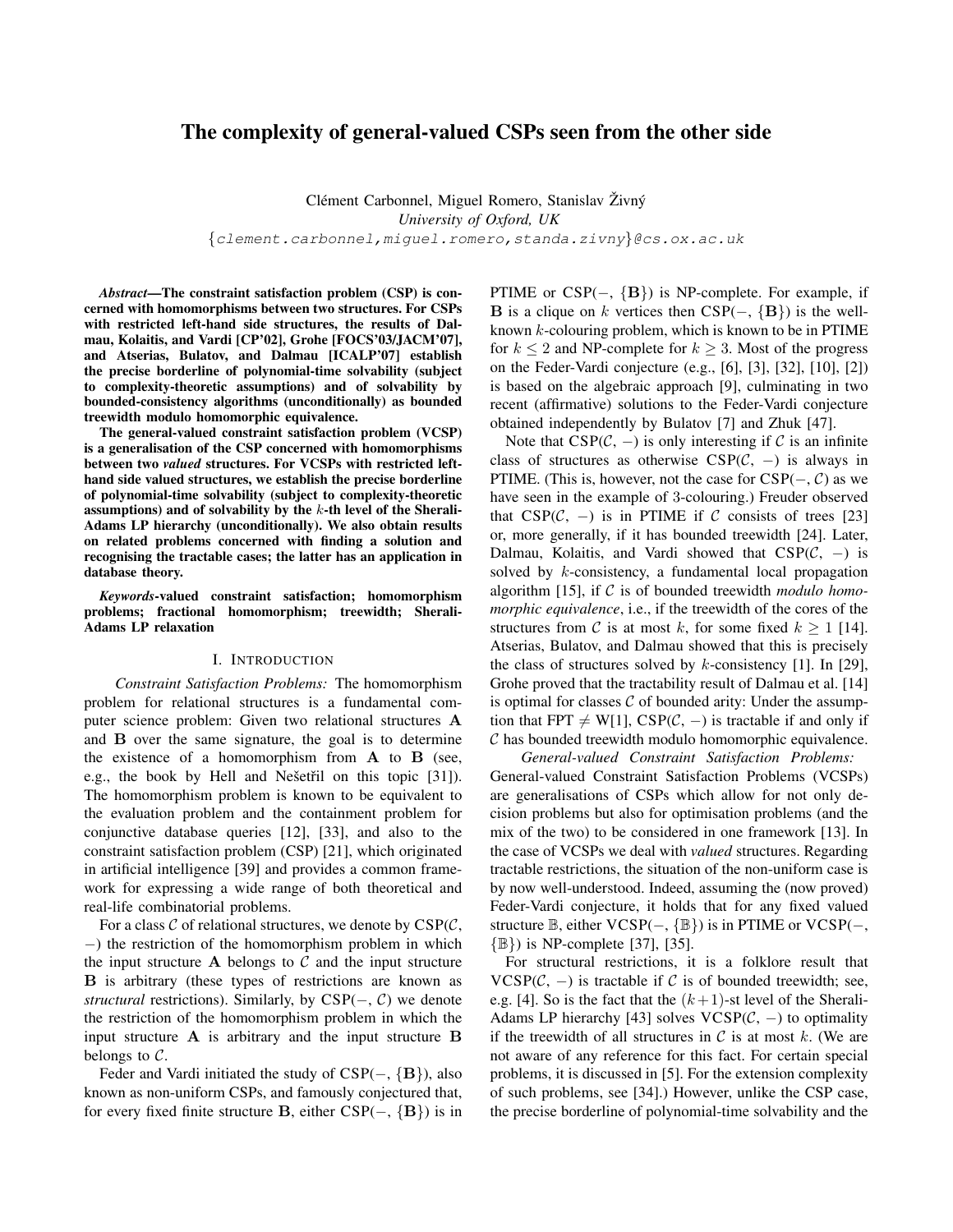# The complexity of general-valued CSPs seen from the other side

Clément Carbonnel, Miguel Romero, Stanislav Živný *University of Oxford, UK* {clement.carbonnel,miguel.romero,standa.zivny}@cs.ox.ac.uk

*Abstract*—The constraint satisfaction problem (CSP) is concerned with homomorphisms between two structures. For CSPs with restricted left-hand side structures, the results of Dalmau, Kolaitis, and Vardi [CP'02], Grohe [FOCS'03/JACM'07], and Atserias, Bulatov, and Dalmau [ICALP'07] establish the precise borderline of polynomial-time solvability (subject to complexity-theoretic assumptions) and of solvability by bounded-consistency algorithms (unconditionally) as bounded treewidth modulo homomorphic equivalence.

The general-valued constraint satisfaction problem (VCSP) is a generalisation of the CSP concerned with homomorphisms between two *valued* structures. For VCSPs with restricted lefthand side valued structures, we establish the precise borderline of polynomial-time solvability (subject to complexity-theoretic assumptions) and of solvability by the  $k$ -th level of the Sherali-Adams LP hierarchy (unconditionally). We also obtain results on related problems concerned with finding a solution and recognising the tractable cases; the latter has an application in database theory.

*Keywords*-valued constraint satisfaction; homomorphism problems; fractional homomorphism; treewidth; Sherali-Adams LP relaxation

### I. INTRODUCTION

*Constraint Satisfaction Problems:* The homomorphism problem for relational structures is a fundamental computer science problem: Given two relational structures A and B over the same signature, the goal is to determine the existence of a homomorphism from  $A$  to  $B$  (see, e.g., the book by Hell and Nešetřil on this topic [31]). The homomorphism problem is known to be equivalent to the evaluation problem and the containment problem for conjunctive database queries [12], [33], and also to the constraint satisfaction problem (CSP) [21], which originated in artificial intelligence [39] and provides a common framework for expressing a wide range of both theoretical and real-life combinatorial problems.

For a class  $C$  of relational structures, we denote by  $CSP(C,$ −) the restriction of the homomorphism problem in which the input structure  $A$  belongs to  $C$  and the input structure B is arbitrary (these types of restrictions are known as *structural* restrictions). Similarly, by  $CSP(-, C)$  we denote the restriction of the homomorphism problem in which the input structure  $\bf{A}$  is arbitrary and the input structure  $\bf{B}$ belongs to  $C$ .

Feder and Vardi initiated the study of  $CSP(-, {B})$ , also known as non-uniform CSPs, and famously conjectured that, for every fixed finite structure B, either  $CSP(-, {B})$  is in PTIME or  $CSP(-, {B})$  is NP-complete. For example, if **B** is a clique on k vertices then  $CSP(-, {B})$  is the wellknown  $k$ -colouring problem, which is known to be in PTIME for  $k \leq 2$  and NP-complete for  $k \geq 3$ . Most of the progress on the Feder-Vardi conjecture (e.g., [6], [3], [32], [10], [2]) is based on the algebraic approach [9], culminating in two recent (affirmative) solutions to the Feder-Vardi conjecture obtained independently by Bulatov [7] and Zhuk [47].

Note that  $CSP(\mathcal{C}, -)$  is only interesting if C is an infinite class of structures as otherwise  $CSP(\mathcal{C}, -)$  is always in PTIME. (This is, however, not the case for  $CSP(-, C)$  as we have seen in the example of 3-colouring.) Freuder observed that  $CSP(\mathcal{C}, -)$  is in PTIME if  $\mathcal C$  consists of trees [23] or, more generally, if it has bounded treewidth [24]. Later, Dalmau, Kolaitis, and Vardi showed that  $CSP(\mathcal{C}, -)$  is solved by k-consistency, a fundamental local propagation algorithm [15], if C is of bounded treewidth *modulo homomorphic equivalence*, i.e., if the treewidth of the cores of the structures from C is at most k, for some fixed  $k > 1$  [14]. Atserias, Bulatov, and Dalmau showed that this is precisely the class of structures solved by  $k$ -consistency [1]. In [29], Grohe proved that the tractability result of Dalmau et al. [14] is optimal for classes  $C$  of bounded arity: Under the assumption that FPT  $\neq$  W[1], CSP( $C$ ,  $-$ ) is tractable if and only if  $C$  has bounded treewidth modulo homomorphic equivalence.

*General-valued Constraint Satisfaction Problems:* General-valued Constraint Satisfaction Problems (VCSPs) are generalisations of CSPs which allow for not only decision problems but also for optimisation problems (and the mix of the two) to be considered in one framework [13]. In the case of VCSPs we deal with *valued* structures. Regarding tractable restrictions, the situation of the non-uniform case is by now well-understood. Indeed, assuming the (now proved) Feder-Vardi conjecture, it holds that for any fixed valued structure  $\mathbb{B}$ , either VCSP(–,  $\{\mathbb{B}\}\$ ) is in PTIME or VCSP(–, {B}) is NP-complete [37], [35].

For structural restrictions, it is a folklore result that  $VCSP(\mathcal{C}, -)$  is tractable if C is of bounded treewidth; see, e.g. [4]. So is the fact that the  $(k+1)$ -st level of the Sherali-Adams LP hierarchy [43] solves  $VCSP(\mathcal{C}, -)$  to optimality if the treewidth of all structures in  $\mathcal C$  is at most k. (We are not aware of any reference for this fact. For certain special problems, it is discussed in [5]. For the extension complexity of such problems, see [34].) However, unlike the CSP case, the precise borderline of polynomial-time solvability and the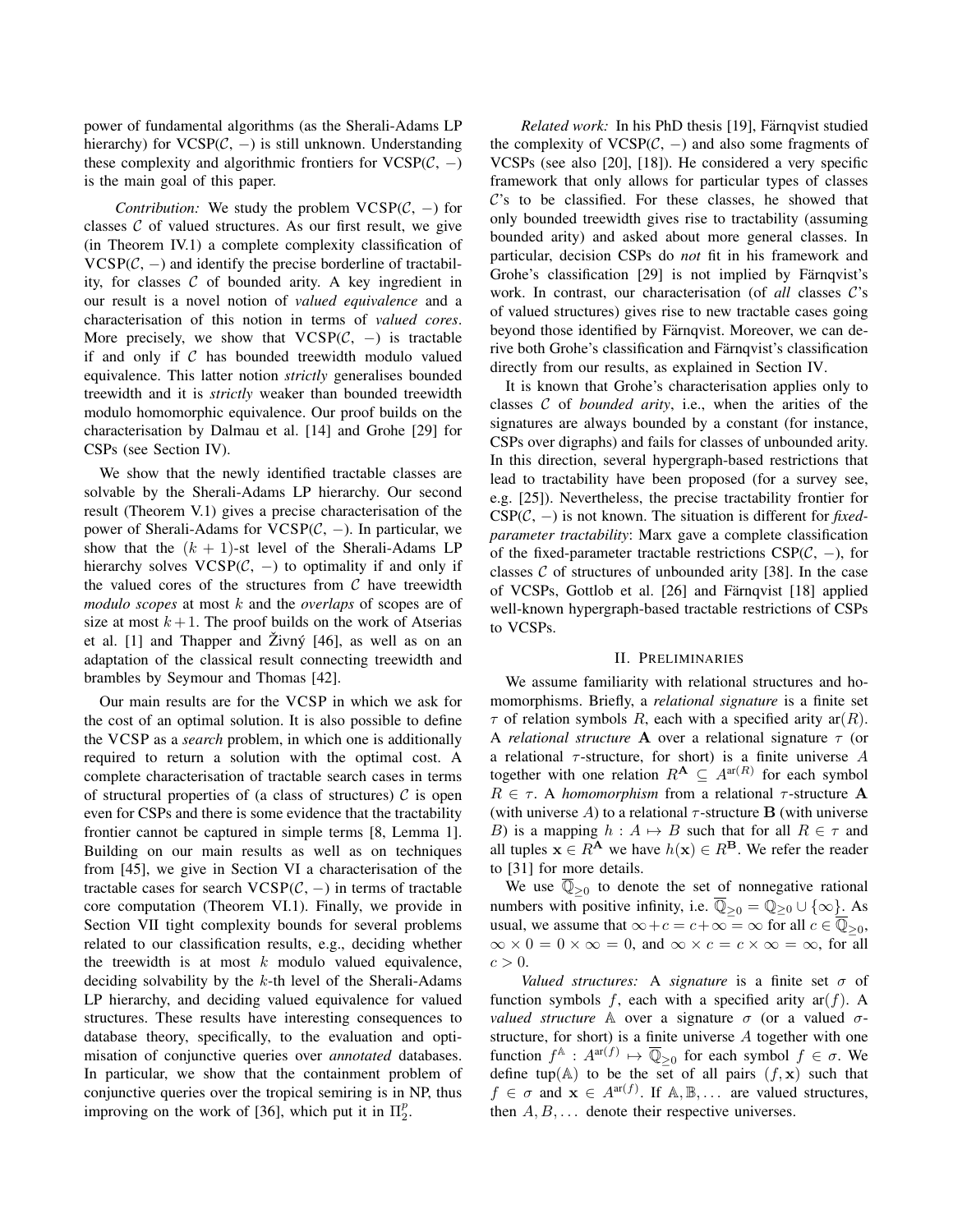power of fundamental algorithms (as the Sherali-Adams LP hierarchy) for VCSP( $C$ ,  $-$ ) is still unknown. Understanding these complexity and algorithmic frontiers for  $VCSP(\mathcal{C}, -)$ is the main goal of this paper.

*Contribution:* We study the problem  $VCSP(\mathcal{C}, -)$  for classes  $C$  of valued structures. As our first result, we give (in Theorem IV.1) a complete complexity classification of  $VCSP(\mathcal{C}, -)$  and identify the precise borderline of tractability, for classes  $C$  of bounded arity. A key ingredient in our result is a novel notion of *valued equivalence* and a characterisation of this notion in terms of *valued cores*. More precisely, we show that  $VCSP(\mathcal{C}, -)$  is tractable if and only if  $C$  has bounded treewidth modulo valued equivalence. This latter notion *strictly* generalises bounded treewidth and it is *strictly* weaker than bounded treewidth modulo homomorphic equivalence. Our proof builds on the characterisation by Dalmau et al. [14] and Grohe [29] for CSPs (see Section IV).

We show that the newly identified tractable classes are solvable by the Sherali-Adams LP hierarchy. Our second result (Theorem V.1) gives a precise characterisation of the power of Sherali-Adams for  $VCSP(\mathcal{C}, -)$ . In particular, we show that the  $(k + 1)$ -st level of the Sherali-Adams LP hierarchy solves  $VCSP(C, -)$  to optimality if and only if the valued cores of the structures from  $C$  have treewidth *modulo scopes* at most k and the *overlaps* of scopes are of size at most  $k+1$ . The proof builds on the work of Atserias et al.  $[1]$  and Thapper and Živný  $[46]$ , as well as on an adaptation of the classical result connecting treewidth and brambles by Seymour and Thomas [42].

Our main results are for the VCSP in which we ask for the cost of an optimal solution. It is also possible to define the VCSP as a *search* problem, in which one is additionally required to return a solution with the optimal cost. A complete characterisation of tractable search cases in terms of structural properties of (a class of structures)  $\mathcal C$  is open even for CSPs and there is some evidence that the tractability frontier cannot be captured in simple terms [8, Lemma 1]. Building on our main results as well as on techniques from [45], we give in Section VI a characterisation of the tractable cases for search  $VCSP(\mathcal{C}, -)$  in terms of tractable core computation (Theorem VI.1). Finally, we provide in Section VII tight complexity bounds for several problems related to our classification results, e.g., deciding whether the treewidth is at most  $k$  modulo valued equivalence, deciding solvability by the k-th level of the Sherali-Adams LP hierarchy, and deciding valued equivalence for valued structures. These results have interesting consequences to database theory, specifically, to the evaluation and optimisation of conjunctive queries over *annotated* databases. In particular, we show that the containment problem of conjunctive queries over the tropical semiring is in NP, thus improving on the work of [36], which put it in  $\Pi_2^p$ .

*Related work:* In his PhD thesis [19], Färnqvist studied the complexity of  $VCSP(\mathcal{C}, -)$  and also some fragments of VCSPs (see also [20], [18]). He considered a very specific framework that only allows for particular types of classes  $\mathcal{C}$ 's to be classified. For these classes, he showed that only bounded treewidth gives rise to tractability (assuming bounded arity) and asked about more general classes. In particular, decision CSPs do *not* fit in his framework and Grohe's classification [29] is not implied by Färnqvist's work. In contrast, our characterisation (of *all* classes C's of valued structures) gives rise to new tractable cases going beyond those identified by Färnqvist. Moreover, we can derive both Grohe's classification and Färnqvist's classification directly from our results, as explained in Section IV.

It is known that Grohe's characterisation applies only to classes C of *bounded arity*, i.e., when the arities of the signatures are always bounded by a constant (for instance, CSPs over digraphs) and fails for classes of unbounded arity. In this direction, several hypergraph-based restrictions that lead to tractability have been proposed (for a survey see, e.g. [25]). Nevertheless, the precise tractability frontier for CSP(C, −) is not known. The situation is different for *fixedparameter tractability*: Marx gave a complete classification of the fixed-parameter tractable restrictions  $CSP(\mathcal{C}, -)$ , for classes  $C$  of structures of unbounded arity [38]. In the case of VCSPs, Gottlob et al. [26] and Färnqvist [18] applied well-known hypergraph-based tractable restrictions of CSPs to VCSPs.

### II. PRELIMINARIES

We assume familiarity with relational structures and homomorphisms. Briefly, a *relational signature* is a finite set  $\tau$  of relation symbols R, each with a specified arity ar(R). A *relational structure* A over a relational signature τ (or a relational  $\tau$ -structure, for short) is a finite universe A together with one relation  $R^{\mathbf{A}} \subseteq A^{\text{ar}(R)}$  for each symbol  $R \in \tau$ . A *homomorphism* from a relational  $\tau$ -structure A (with universe A) to a relational  $\tau$ -structure **B** (with universe B) is a mapping  $h : A \mapsto B$  such that for all  $R \in \tau$  and all tuples  $x \in R^A$  we have  $h(x) \in R^B$ . We refer the reader to [31] for more details.

We use  $\overline{\mathbb{Q}}_{\geq 0}$  to denote the set of nonnegative rational numbers with positive infinity, i.e.  $\overline{\mathbb{Q}}_{\geq 0} = \mathbb{Q}_{\geq 0} \cup \{\infty\}$ . As usual, we assume that  $\infty + c = c + \infty = \infty$  for all  $c \in \overline{\mathbb{Q}}_{\geq 0}$ ,  $\infty \times 0 = 0 \times \infty = 0$ , and  $\infty \times c = c \times \infty = \infty$ , for all  $c > 0$ .

*Valued structures:* A *signature* is a finite set σ of function symbols f, each with a specified arity  $ar(f)$ . A *valued structure*  $\mathbb A$  over a signature  $\sigma$  (or a valued  $\sigma$ structure, for short) is a finite universe A together with one function  $f^{\mathbb{A}}: A^{ar(f)} \mapsto \overline{\mathbb{Q}}_{\geq 0}$  for each symbol  $f \in \sigma$ . We define tup( $A$ ) to be the set of all pairs  $(f, x)$  such that  $f \in \sigma$  and  $\mathbf{x} \in A^{\text{ar}(f)}$ . If  $\mathbb{A}, \mathbb{B}, \dots$  are valued structures, then  $A, B, \ldots$  denote their respective universes.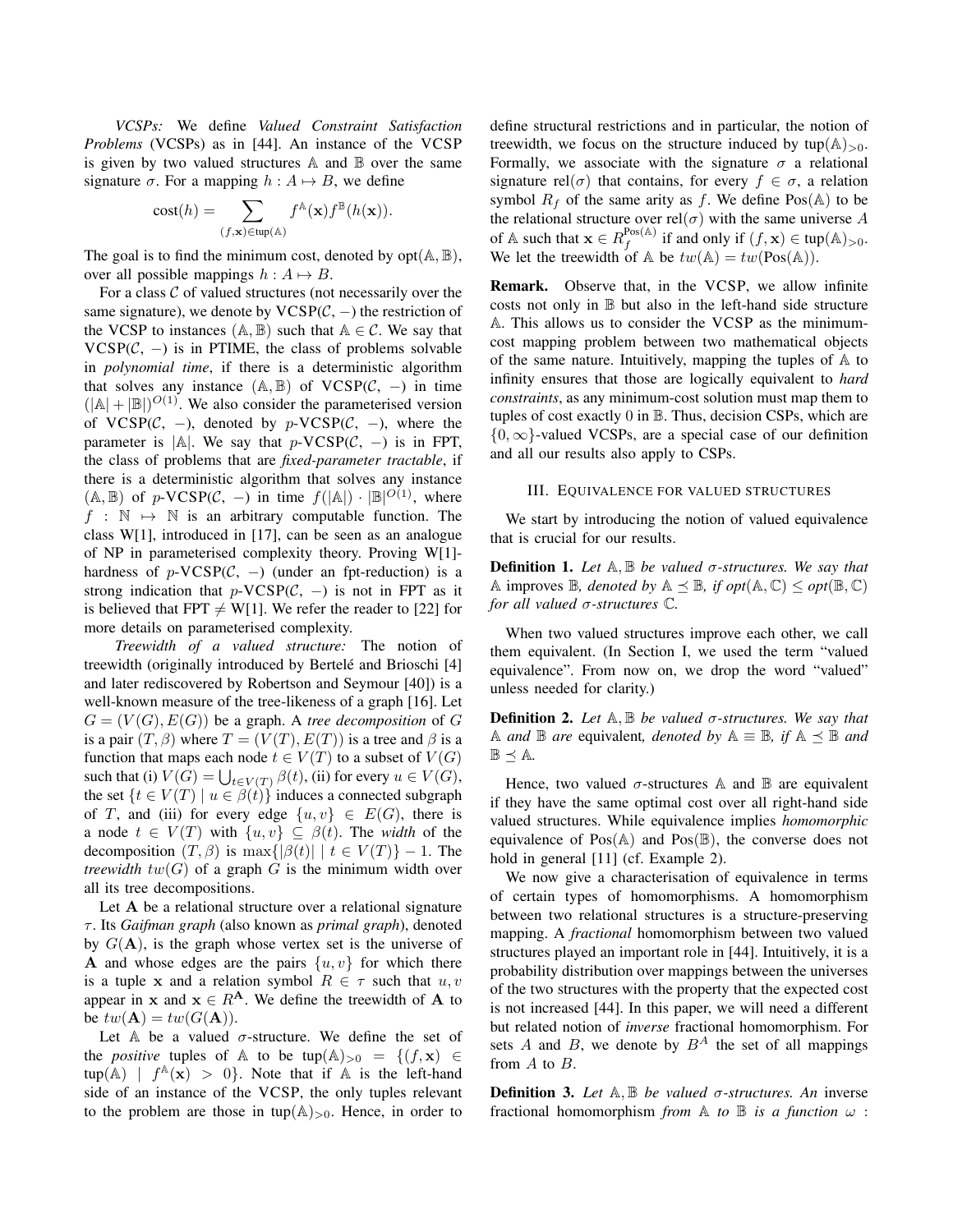*VCSPs:* We define *Valued Constraint Satisfaction Problems* (VCSPs) as in [44]. An instance of the VCSP is given by two valued structures  $A$  and  $B$  over the same signature  $\sigma$ . For a mapping  $h : A \mapsto B$ , we define

$$
cost(h) = \sum_{(f, \mathbf{x}) \in \text{tup}(\mathbb{A})} f^{\mathbb{A}}(\mathbf{x}) f^{\mathbb{B}}(h(\mathbf{x})).
$$

The goal is to find the minimum cost, denoted by  $opt(A, B)$ , over all possible mappings  $h : A \mapsto B$ .

For a class  $C$  of valued structures (not necessarily over the same signature), we denote by  $VCSP(\mathcal{C}, -)$  the restriction of the VCSP to instances  $(A, B)$  such that  $A \in \mathcal{C}$ . We say that  $VCSP(\mathcal{C}, -)$  is in PTIME, the class of problems solvable in *polynomial time*, if there is a deterministic algorithm that solves any instance  $(A, B)$  of VCSP( $C$ , -) in time  $(|A| + |B|)^{O(1)}$ . We also consider the parameterised version of VCSP( $C$ , -), denoted by p-VCSP( $C$ , -), where the parameter is  $|A|$ . We say that p-VCSP( $C$ , -) is in FPT, the class of problems that are *fixed-parameter tractable*, if there is a deterministic algorithm that solves any instance  $(A, B)$  of  $p$ -VCSP( $C$ ,  $-)$  in time  $f(|A|) \cdot |B|^{O(1)}$ , where  $f : \mathbb{N} \mapsto \mathbb{N}$  is an arbitrary computable function. The class W[1], introduced in [17], can be seen as an analogue of NP in parameterised complexity theory. Proving W[1] hardness of  $p$ -VCSP( $C$ , -) (under an fpt-reduction) is a strong indication that  $p$ -VCSP( $C$ ,  $-$ ) is not in FPT as it is believed that FPT  $\neq$  W[1]. We refer the reader to [22] for more details on parameterised complexity.

*Treewidth of a valued structure:* The notion of treewidth (originally introduced by Bertelé and Brioschi [4] and later rediscovered by Robertson and Seymour [40]) is a well-known measure of the tree-likeness of a graph [16]. Let  $G = (V(G), E(G))$  be a graph. A *tree decomposition* of G is a pair  $(T, \beta)$  where  $T = (V(T), E(T))$  is a tree and  $\beta$  is a function that maps each node  $t \in V(T)$  to a subset of  $V(G)$ such that (i)  $V(G) = \bigcup_{t \in V(T)} \beta(t)$ , (ii) for every  $u \in V(G)$ , the set  $\{t \in V(T) \mid u \in \beta(t)\}\$  induces a connected subgraph of T, and (iii) for every edge  $\{u, v\} \in E(G)$ , there is a node  $t \in V(T)$  with  $\{u, v\} \subset \beta(t)$ . The *width* of the decomposition  $(T, \beta)$  is max $\{|\beta(t)| | t \in V(T)\} - 1$ . The *treewidth*  $tw(G)$  of a graph G is the minimum width over all its tree decompositions.

Let A be a relational structure over a relational signature τ . Its *Gaifman graph* (also known as *primal graph*), denoted by  $G(A)$ , is the graph whose vertex set is the universe of A and whose edges are the pairs  $\{u, v\}$  for which there is a tuple x and a relation symbol  $R \in \tau$  such that  $u, v$ appear in x and  $x \in R^A$ . We define the treewidth of A to be  $tw(\mathbf{A}) = tw(G(\mathbf{A})).$ 

Let A be a valued  $\sigma$ -structure. We define the set of the *positive* tuples of A to be tup(A)<sub>>0</sub> =  $\{(f, \mathbf{x}) \in$  $\tan(\mathbb{A})$  |  $f^{\mathbb{A}}(\mathbf{x}) > 0$ . Note that if  $\mathbb{A}$  is the left-hand side of an instance of the VCSP, the only tuples relevant to the problem are those in tup( $A$ )<sub>>0</sub>. Hence, in order to define structural restrictions and in particular, the notion of treewidth, we focus on the structure induced by  $\text{tup}(\mathbb{A})_{>0}$ . Formally, we associate with the signature  $\sigma$  a relational signature rel( $\sigma$ ) that contains, for every  $f \in \sigma$ , a relation symbol  $R_f$  of the same arity as f. We define  $Pos(A)$  to be the relational structure over rel( $\sigma$ ) with the same universe A of A such that  $\mathbf{x} \in R_f^{\text{Pos}(\mathbb{A})}$  $f_f^{\text{Pos}(\mathbb{A})}$  if and only if  $(f, \mathbf{x}) \in \text{tup}(\mathbb{A})_{>0}$ . We let the treewidth of  $\mathbb A$  be  $tw(\mathbb A) = tw(Pos(\mathbb A)).$ 

Remark. Observe that, in the VCSP, we allow infinite costs not only in  $\mathbb B$  but also in the left-hand side structure A. This allows us to consider the VCSP as the minimumcost mapping problem between two mathematical objects of the same nature. Intuitively, mapping the tuples of  $A$  to infinity ensures that those are logically equivalent to *hard constraints*, as any minimum-cost solution must map them to tuples of cost exactly 0 in B. Thus, decision CSPs, which are  $\{0, \infty\}$ -valued VCSPs, are a special case of our definition and all our results also apply to CSPs.

#### III. EQUIVALENCE FOR VALUED STRUCTURES

We start by introducing the notion of valued equivalence that is crucial for our results.

Definition 1. *Let* A, B *be valued* σ*-structures. We say that* A improves  $\mathbb{B}$ *, denoted by*  $\mathbb{A} \preceq \mathbb{B}$ *, if*  $opt(\mathbb{A}, \mathbb{C}) \leq opt(\mathbb{B}, \mathbb{C})$ *for all valued* σ*-structures* C*.*

When two valued structures improve each other, we call them equivalent. (In Section I, we used the term "valued equivalence". From now on, we drop the word "valued" unless needed for clarity.)

Definition 2. *Let* A, B *be valued* σ*-structures. We say that* A *and* **B** *are* equivalent, *denoted by*  $A \equiv$  **B**, *if*  $A \leq$  **B** *and*  $\mathbb{B} \preceq \mathbb{A}$ .

Hence, two valued  $\sigma$ -structures A and B are equivalent if they have the same optimal cost over all right-hand side valued structures. While equivalence implies *homomorphic* equivalence of  $Pos(A)$  and  $Pos(\mathbb{B})$ , the converse does not hold in general [11] (cf. Example 2).

We now give a characterisation of equivalence in terms of certain types of homomorphisms. A homomorphism between two relational structures is a structure-preserving mapping. A *fractional* homomorphism between two valued structures played an important role in [44]. Intuitively, it is a probability distribution over mappings between the universes of the two structures with the property that the expected cost is not increased [44]. In this paper, we will need a different but related notion of *inverse* fractional homomorphism. For sets A and B, we denote by  $B^A$  the set of all mappings from A to B.

Definition 3. *Let* A, B *be valued* σ*-structures. An* inverse fractional homomorphism *from*  $\mathbb A$  *to*  $\mathbb B$  *is a function*  $\omega$  :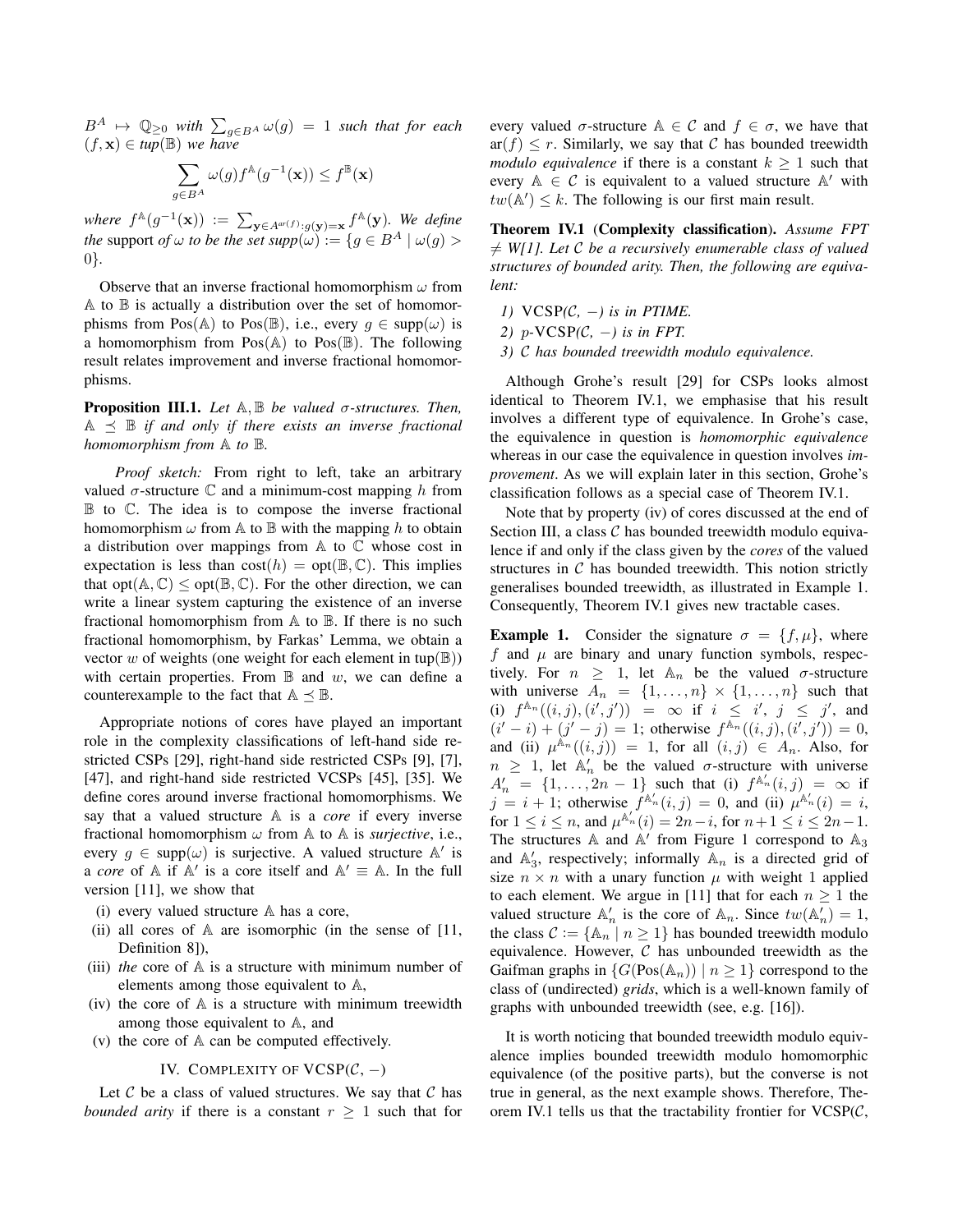$B^A \mapsto \mathbb{Q}_{\geq 0}$  *with*  $\sum_{g \in B^A} \omega(g) = 1$  *such that for each*  $(f, \mathbf{x}) \in \overline{tup}(\mathbb{B})$  *we have* 

$$
\sum_{g \in B^A} \omega(g) f^{\mathbb{A}}(g^{-1}(\mathbf{x})) \le f^{\mathbb{B}}(\mathbf{x})
$$

where  $f^{\mathbb{A}}(g^{-1}(\mathbf{x})) := \sum_{\mathbf{y} \in A^{ar(f)}: g(\mathbf{y}) = \mathbf{x}} f^{\mathbb{A}}(\mathbf{y})$ *. We define the* support *of*  $\omega$  *to be the set supp* $(\omega) := \{g \in B^A \mid \omega(g) > 0\}$ 0}*.*

Observe that an inverse fractional homomorphism  $\omega$  from A to B is actually a distribution over the set of homomorphisms from Pos(A) to Pos(B), i.e., every  $q \in \text{supp}(\omega)$  is a homomorphism from  $Pos(A)$  to  $Pos(\mathbb{B})$ . The following result relates improvement and inverse fractional homomorphisms.

Proposition III.1. *Let* A, B *be valued* σ*-structures. Then,*  $A \preceq B$  *if and only if there exists an inverse fractional homomorphism from* A *to* B*.*

*Proof sketch:* From right to left, take an arbitrary valued  $\sigma$ -structure C and a minimum-cost mapping h from B to C. The idea is to compose the inverse fractional homomorphism  $\omega$  from A to B with the mapping h to obtain a distribution over mappings from  $A$  to  $C$  whose cost in expectation is less than  $cost(h) = opt(\mathbb{B}, \mathbb{C})$ . This implies that opt $(A, \mathbb{C}) \le$  opt $(\mathbb{B}, \mathbb{C})$ . For the other direction, we can write a linear system capturing the existence of an inverse fractional homomorphism from A to B. If there is no such fractional homomorphism, by Farkas' Lemma, we obtain a vector w of weights (one weight for each element in tup( $\mathbb{B}$ )) with certain properties. From  $\mathbb B$  and  $w$ , we can define a counterexample to the fact that  $A \preceq \mathbb{B}$ .

Appropriate notions of cores have played an important role in the complexity classifications of left-hand side restricted CSPs [29], right-hand side restricted CSPs [9], [7], [47], and right-hand side restricted VCSPs [45], [35]. We define cores around inverse fractional homomorphisms. We say that a valued structure A is a *core* if every inverse fractional homomorphism  $\omega$  from A to A is *surjective*, i.e., every  $g \in \text{supp}(\omega)$  is surjective. A valued structure  $\mathbb{A}'$  is a *core* of  $\mathbb{A}$  if  $\mathbb{A}'$  is a core itself and  $\mathbb{A}' \equiv \mathbb{A}$ . In the full version [11], we show that

- (i) every valued structure A has a core,
- (ii) all cores of A are isomorphic (in the sense of [11, Definition 8]),
- (iii) *the* core of A is a structure with minimum number of elements among those equivalent to A,
- (iv) the core of  $A$  is a structure with minimum treewidth among those equivalent to A, and
- (v) the core of A can be computed effectively.

## IV. COMPLEXITY OF  $VCSP(\mathcal{C},-)$

Let  $C$  be a class of valued structures. We say that  $C$  has *bounded arity* if there is a constant  $r \geq 1$  such that for every valued  $\sigma$ -structure  $A \in \mathcal{C}$  and  $f \in \sigma$ , we have that  $ar(f) \leq r$ . Similarly, we say that C has bounded treewidth *modulo equivalence* if there is a constant  $k \geq 1$  such that every  $A \in \mathcal{C}$  is equivalent to a valued structure  $A'$  with  $tw(\mathbb{A}') \leq k$ . The following is our first main result.

Theorem IV.1 (Complexity classification). *Assume FPT*  $\neq$  *W*[1]. Let C be a recursively enumerable class of valued *structures of bounded arity. Then, the following are equivalent:*

- *1)* VCSP*(*C*,* −*) is in PTIME.*
- *2)*  $p$ -VCSP(*C*, −*) is in FPT.*
- *3)* C *has bounded treewidth modulo equivalence.*

Although Grohe's result [29] for CSPs looks almost identical to Theorem IV.1, we emphasise that his result involves a different type of equivalence. In Grohe's case, the equivalence in question is *homomorphic equivalence* whereas in our case the equivalence in question involves *improvement*. As we will explain later in this section, Grohe's classification follows as a special case of Theorem IV.1.

Note that by property (iv) of cores discussed at the end of Section III, a class  $C$  has bounded treewidth modulo equivalence if and only if the class given by the *cores* of the valued structures in  $C$  has bounded treewidth. This notion strictly generalises bounded treewidth, as illustrated in Example 1. Consequently, Theorem IV.1 gives new tractable cases.

**Example 1.** Consider the signature  $\sigma = \{f, \mu\}$ , where f and  $\mu$  are binary and unary function symbols, respectively. For  $n \geq 1$ , let  $\mathbb{A}_n$  be the valued  $\sigma$ -structure with universe  $A_n = \{1, \ldots, n\} \times \{1, \ldots, n\}$  such that (i)  $f^{\mathbb{A}_n}((i,j),(i',j')) = \infty$  if  $i \leq i', j \leq j'$ , and  $(i'-i) + (j'-j) = 1$ ; otherwise  $f^{An}((i,j),(i',j')) = 0$ , and (ii)  $\mu^{\mathbb{A}_n}((i,j)) = 1$ , for all  $(i,j) \in A_n$ . Also, for  $n \geq 1$ , let  $\mathbb{A}'_n$  be the valued  $\sigma$ -structure with universe  $A'_n = \{1, \ldots, 2n-1\}$  such that (i)  $f^{A'_n}(i, j) = \infty$  if  $j = i + 1$ ; otherwise  $f^{\mathbb{A}'_n}(i, j) = 0$ , and (ii)  $\mu^{\mathbb{A}'_n}(i) = i$ , for  $1 \le i \le n$ , and  $\mu^{\mathbb{A}'_n}(i) = 2n - i$ , for  $n + 1 \le i \le 2n - 1$ . The structures A and  $A'$  from Figure 1 correspond to  $A_3$ and  $\mathbb{A}'_3$ , respectively; informally  $\mathbb{A}_n$  is a directed grid of size  $n \times n$  with a unary function  $\mu$  with weight 1 applied to each element. We argue in [11] that for each  $n \geq 1$  the valued structure  $\mathbb{A}'_n$  is the core of  $\mathbb{A}_n$ . Since  $tw(\mathbb{A}'_n) = 1$ , the class  $C := \{A_n \mid n \geq 1\}$  has bounded treewidth modulo equivalence. However,  $C$  has unbounded treewidth as the Gaifman graphs in  $\{G(Pos(\mathbb{A}_n)) \mid n \geq 1\}$  correspond to the class of (undirected) *grids*, which is a well-known family of graphs with unbounded treewidth (see, e.g. [16]).

It is worth noticing that bounded treewidth modulo equivalence implies bounded treewidth modulo homomorphic equivalence (of the positive parts), but the converse is not true in general, as the next example shows. Therefore, Theorem IV.1 tells us that the tractability frontier for  $VCSP(\mathcal{C},$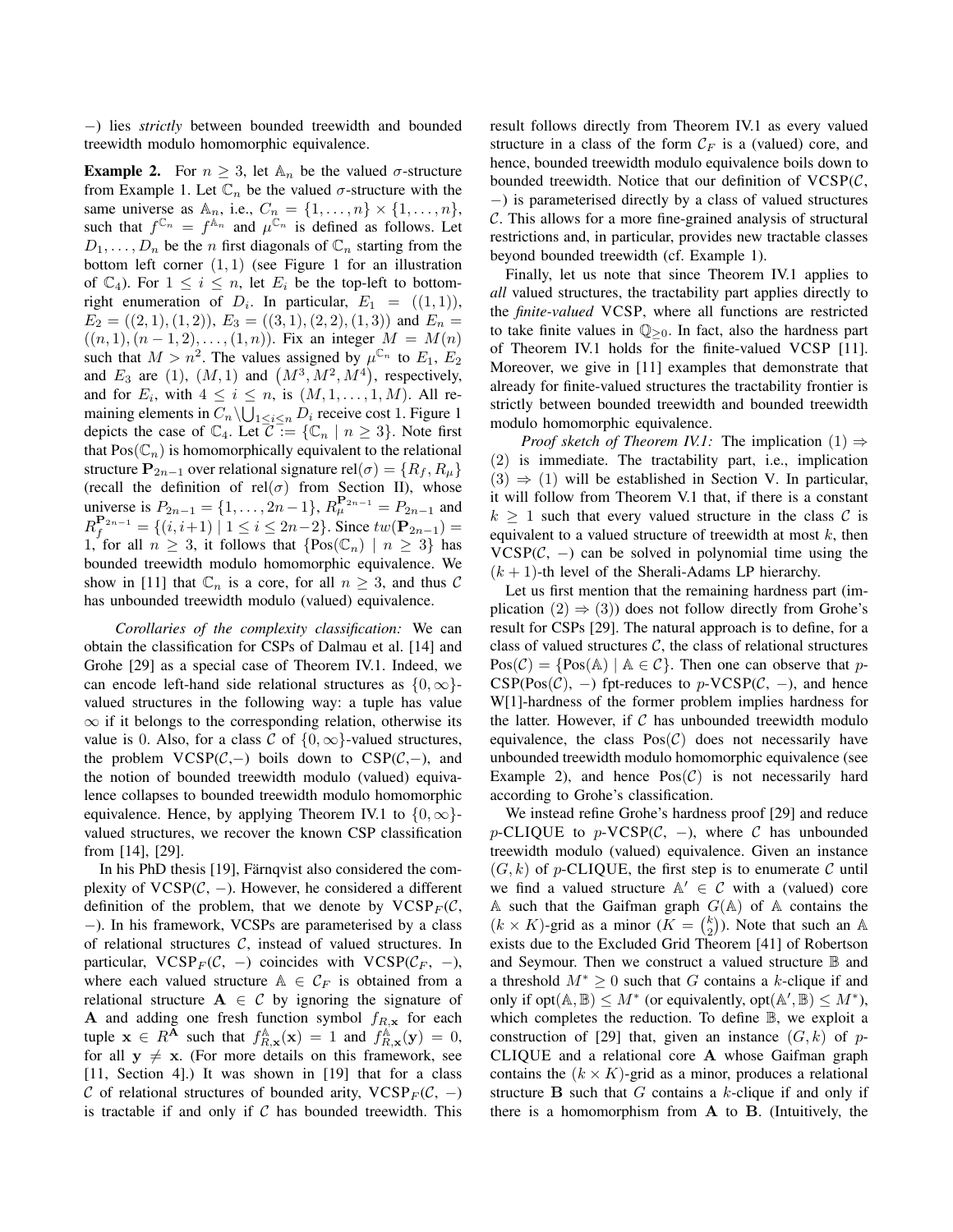−) lies *strictly* between bounded treewidth and bounded treewidth modulo homomorphic equivalence.

**Example 2.** For  $n \geq 3$ , let  $\mathbb{A}_n$  be the valued  $\sigma$ -structure from Example 1. Let  $\mathbb{C}_n$  be the valued  $\sigma$ -structure with the same universe as  $\mathbb{A}_n$ , i.e.,  $C_n = \{1, \ldots, n\} \times \{1, \ldots, n\},\$ such that  $f^{\mathbb{C}_n} = f^{\mathbb{A}_n}$  and  $\mu^{\mathbb{C}_n}$  is defined as follows. Let  $D_1, \ldots, D_n$  be the *n* first diagonals of  $\mathbb{C}_n$  starting from the bottom left corner  $(1, 1)$  (see Figure 1 for an illustration of  $\mathbb{C}_4$ ). For  $1 \leq i \leq n$ , let  $E_i$  be the top-left to bottomright enumeration of  $D_i$ . In particular,  $E_1 = ((1,1)),$  $E_2 = ((2, 1), (1, 2)), E_3 = ((3, 1), (2, 2), (1, 3))$  and  $E_n =$  $((n, 1), (n - 1, 2), \ldots, (1, n)).$  Fix an integer  $M = M(n)$ such that  $M > n^2$ . The values assigned by  $\mu^{\mathbb{C}_n}$  to  $E_1, E_2$ and  $E_3$  are (1),  $(M, 1)$  and  $(M^3, M^2, M^4)$ , respectively, and for  $E_i$ , with  $4 \leq i \leq n$ , is  $(M, 1, \ldots, 1, M)$ . All remaining elements in  $C_n \setminus \bigcup_{1 \leq i \leq n} D_i$  receive cost 1. Figure 1 depicts the case of  $\mathbb{C}_4$ . Let  $\overline{\mathcal{C}} := {\mathbb{C}_n \mid n \geq 3}$ . Note first that  $Pos(\mathbb{C}_n)$  is homomorphically equivalent to the relational structure  $P_{2n-1}$  over relational signature rel $(\sigma) = \{R_f, R_\mu\}$ (recall the definition of rel( $\sigma$ ) from Section II), whose universe is  $P_{2n-1} = \{1, \ldots, 2n-1\}$ ,  $R_{\mu}^{\mathbf{P}_{2n-1}} = P_{2n-1}$  and  $R_f^{\mathbf{P}_{2n-1}} = \{(i, i+1) \mid 1 \le i \le 2n-2\}$ . Since  $tw(\mathbf{P}_{2n-1}) =$ 1, for all  $n \geq 3$ , it follows that  $\{Pos(\mathbb{C}_n) \mid n \geq 3\}$  has bounded treewidth modulo homomorphic equivalence. We show in [11] that  $\mathbb{C}_n$  is a core, for all  $n \geq 3$ , and thus C has unbounded treewidth modulo (valued) equivalence.

*Corollaries of the complexity classification:* We can obtain the classification for CSPs of Dalmau et al. [14] and Grohe [29] as a special case of Theorem IV.1. Indeed, we can encode left-hand side relational structures as  $\{0,\infty\}$ valued structures in the following way: a tuple has value  $\infty$  if it belongs to the corresponding relation, otherwise its value is 0. Also, for a class C of  $\{0, \infty\}$ -valued structures, the problem  $VCSP(\mathcal{C},-)$  boils down to  $CSP(\mathcal{C},-)$ , and the notion of bounded treewidth modulo (valued) equivalence collapses to bounded treewidth modulo homomorphic equivalence. Hence, by applying Theorem IV.1 to  $\{0, \infty\}$ valued structures, we recover the known CSP classification from [14], [29].

In his PhD thesis [19], Färnqvist also considered the complexity of  $VCSP(\mathcal{C}, -)$ . However, he considered a different definition of the problem, that we denote by  $VCSP<sub>F</sub>(C,$ −). In his framework, VCSPs are parameterised by a class of relational structures  $C$ , instead of valued structures. In particular, VCSP<sub>F</sub>( $C$ , -) coincides with VCSP( $C$ <sub>F</sub>, -), where each valued structure  $A \in \mathcal{C}_F$  is obtained from a relational structure  $A \in \mathcal{C}$  by ignoring the signature of A and adding one fresh function symbol  $f_{R, x}$  for each tuple  $\mathbf{x} \in R^{\mathbf{A}}$  such that  $f_{R,\mathbf{x}}^{\mathbf{A}}(\mathbf{x}) = 1$  and  $f_{R,\mathbf{x}}^{\mathbf{A}}(\mathbf{y}) = 0$ , for all  $y \neq x$ . (For more details on this framework, see [11, Section 4].) It was shown in [19] that for a class C of relational structures of bounded arity,  $VCSP<sub>F</sub>(C, -)$ is tractable if and only if  $C$  has bounded treewidth. This result follows directly from Theorem IV.1 as every valued structure in a class of the form  $\mathcal{C}_F$  is a (valued) core, and hence, bounded treewidth modulo equivalence boils down to bounded treewidth. Notice that our definition of  $VCSP(\mathcal{C})$ , −) is parameterised directly by a class of valued structures C. This allows for a more fine-grained analysis of structural restrictions and, in particular, provides new tractable classes beyond bounded treewidth (cf. Example 1).

Finally, let us note that since Theorem IV.1 applies to *all* valued structures, the tractability part applies directly to the *finite-valued* VCSP, where all functions are restricted to take finite values in  $\mathbb{Q}_{\geq 0}$ . In fact, also the hardness part of Theorem IV.1 holds for the finite-valued VCSP [11]. Moreover, we give in [11] examples that demonstrate that already for finite-valued structures the tractability frontier is strictly between bounded treewidth and bounded treewidth modulo homomorphic equivalence.

*Proof sketch of Theorem IV.1:* The implication  $(1) \Rightarrow$ (2) is immediate. The tractability part, i.e., implication  $(3) \Rightarrow (1)$  will be established in Section V. In particular, it will follow from Theorem V.1 that, if there is a constant  $k \geq 1$  such that every valued structure in the class C is equivalent to a valued structure of treewidth at most  $k$ , then  $VCSP(\mathcal{C}, -)$  can be solved in polynomial time using the  $(k + 1)$ -th level of the Sherali-Adams LP hierarchy.

Let us first mention that the remaining hardness part (implication  $(2) \Rightarrow (3)$  does not follow directly from Grohe's result for CSPs [29]. The natural approach is to define, for a class of valued structures  $C$ , the class of relational structures  $Pos(\mathcal{C}) = \{Pos(A) | A \in \mathcal{C}\}\$ . Then one can observe that p- $CSP(Pos(\mathcal{C}), -)$  fpt-reduces to p-VCSP( $\mathcal{C}, -$ ), and hence W[1]-hardness of the former problem implies hardness for the latter. However, if  $C$  has unbounded treewidth modulo equivalence, the class  $Pos(\mathcal{C})$  does not necessarily have unbounded treewidth modulo homomorphic equivalence (see Example 2), and hence  $Pos(\mathcal{C})$  is not necessarily hard according to Grohe's classification.

We instead refine Grohe's hardness proof [29] and reduce p-CLIQUE to  $p$ -VCSP( $C$ , -), where C has unbounded treewidth modulo (valued) equivalence. Given an instance  $(G, k)$  of p-CLIQUE, the first step is to enumerate C until we find a valued structure  $\mathbb{A}' \in \mathcal{C}$  with a (valued) core A such that the Gaifman graph  $G(A)$  of A contains the  $(k \times K)$ -grid as a minor  $(K = {k \choose 2})$ . Note that such an A exists due to the Excluded Grid Theorem [41] of Robertson and Seymour. Then we construct a valued structure  $\mathbb B$  and a threshold  $M^*$  > 0 such that G contains a k-clique if and only if  $opt(A, B) \le M^*$  (or equivalently,  $opt(A', B) \le M^*$ ), which completes the reduction. To define B, we exploit a construction of [29] that, given an instance  $(G, k)$  of p-CLIQUE and a relational core A whose Gaifman graph contains the  $(k \times K)$ -grid as a minor, produces a relational structure **B** such that  $G$  contains a k-clique if and only if there is a homomorphism from  $A$  to  $B$ . (Intuitively, the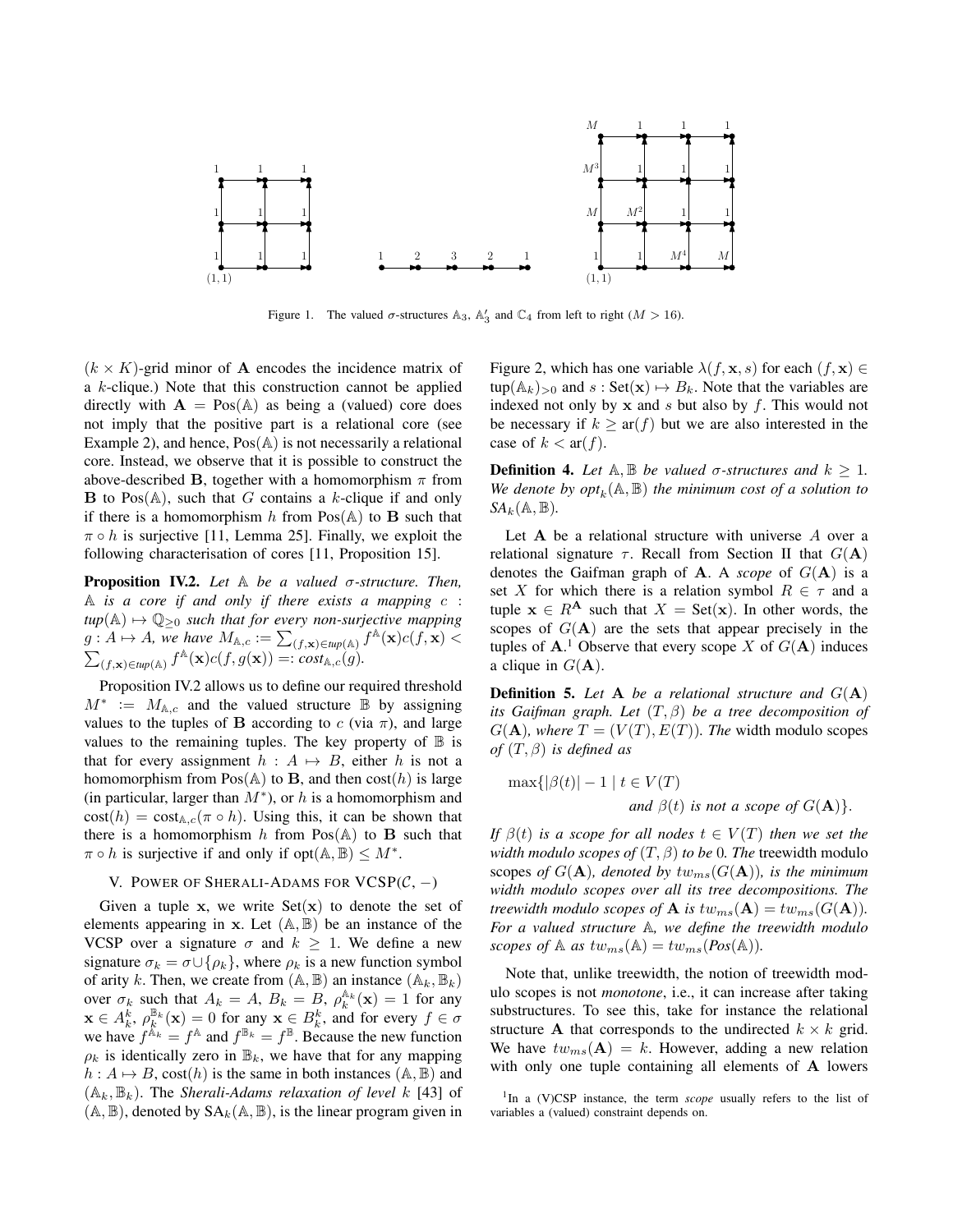

Figure 1. The valued  $\sigma$ -structures A<sub>3</sub>, A<sub>3</sub> and C<sub>4</sub> from left to right ( $M > 16$ ).

 $(k \times K)$ -grid minor of **A** encodes the incidence matrix of Example 2), and hence,  $Pos(A)$  is not necessarily a relational not imply that the positive part is a relational core (see above-described B, together with a homomorphism  $\pi$  from following characterisation of cores [11, Proposition 15].  $\pi \circ h$  is surjective [11, Lemma 25]. Finally, we exploit the a k-clique.) Note that this construction cannot be applied directly with  $A = Pos(A)$  as being a (valued) core does core. Instead, we observe that it is possible to construct the **B** to Pos( $\mathbb{A}$ ), such that G contains a k-clique if and only if there is a homomorphism h from  $Pos(A)$  to **B** such that

 $f^{\mathbb{A}}(\mathbf{x})e^{(\mathbf{f}-\mathbf{x})}$  Scope  $y_{\mathbb{A}}$  of  $f^{\mathbb{A}}(\mathbf{x})c(f,g(\mathbf{x}))=:co_{\mathbb{A}}$ Proposition IV.2. *Let* A *be a valued* σ*-structure. Then,* A *is a core if and only if there exists a mapping* c :  $tup(A) \mapsto \mathbb{Q}_{\geq 0}$  *such that for every non-surjective mapping*  $g: A \mapsto A$ *, we have*  $M_{\mathbb{A},c} := \sum_{(f,\mathbf{x}) \in \text{tupp}(\mathbb{A})} f^{\mathbb{A}}(\mathbf{x}) c(f,\mathbf{x})$  $\sum_{(f,\mathbf{x}) \in \textit{tup}(\mathbb{A})} f^{\mathbb{A}}(\mathbf{x}) c(f,g(\mathbf{x})) = : \textit{cost}_{\mathbb{A},c}(g).$ 

Proposition IV.2 allows us to define our required threshold perfinition 5, Let A be a relational structure  $M^* := M_{A,c}$  and the valued structure  $\overline{B}$  by assigning  $\frac{1}{P}$  is not a core of  $\frac{1}{P}$ . that for every assignment  $h : A \mapsto B$ , either h is not a<br>that for every assignment  $h : A \mapsto B$ , either h is not a values to the tuples of B according to c (via  $\pi$ ), and large values to the remaining tuples. The key property of  $\mathbb B$  is homomorphism from  $Pos(A)$  to B, and then  $cost(h)$  is large (in particular, larger than  $M^*$ ), or h is a homomorphism and  $cost(h) = cost_{A,c}(\pi \circ h)$ . Using this, it can be shown that there is a homomorphism h from  $Pos(A)$  to **B** such that  $\pi \circ h$  is surjective if and only if  $opt(A, \mathbb{B}) \leq M^*$ .

### V. POWER OF SHERALI-ADAMS FOR  $VCSP(C, -)$

Given a tuple x, we write  $Set(x)$  to denote the set of elements appearing in  $x$ . Let  $(A, B)$  be an instance of the VCSP over a signature  $\sigma$  and  $k \geq 1$ . We define a new signature  $\sigma_k = \sigma \cup \{\rho_k\}$ , where  $\rho_k$  is a new function symbol of arity k. Then, we create from  $(A, B)$  an instance  $(A_k, B_k)$ over  $\sigma_k$  such that  $A_k = A$ ,  $B_k = B$ ,  $\rho_k^{\mathbb{A}_k}(\mathbf{x}) = 1$  for any  $\mathbf{x} \in A_k^k$ ,  $\rho_k^{\mathbb{B}_k}(\mathbf{x}) = 0$  for any  $\mathbf{x} \in B_k^k$ , and for every  $f \in \sigma$ we have  $f^{\mathbb{A}_k} = f^{\mathbb{A}}$  and  $f^{\mathbb{B}_k} = f^{\mathbb{B}}$ . Because the new function  $\rho_k$  is identically zero in  $\mathbb{B}_k$ , we have that for any mapping  $h: A \mapsto B$ , cost(h) is the same in both instances (A, B) and  $(A_k, B_k)$ . The *Sherali-Adams relaxation of level* k [43] of  $(A, B)$ , denoted by  $SA_k(A, B)$ , is the linear program given in Figure 2, which has one variable  $\lambda(f, \mathbf{x}, s)$  for each  $(f, \mathbf{x}) \in$  $\text{tup}(\mathbb{A}_k)_{>0}$  and  $s : \text{Set}(\mathbf{x}) \mapsto B_k$ . Note that the variables are indexed not only by  $x$  and  $s$  but also by  $f$ . This would not be necessary if  $k \geq \operatorname{ar}(f)$  but we are also interested in the case of  $k < \text{ar}(f)$ .

We denote by  $opt_k(A, B)$  the minimum cost of a solution to **Definition 4.** Let  $\mathbb{A}, \mathbb{B}$  *be valued*  $\sigma$ *-structures and*  $k \geq 1$ *.*  $SA_k(\mathbb{A}, \mathbb{B})$ .

scopes of  $G(A)$  are the sets that appear precisely in the Let  $A$  be a relational structure with universe  $A$  over a relational signature  $\tau$ . Recall from Section II that  $G(A)$ denotes the Gaifman graph of  $A$ . A *scope* of  $G(A)$  is a set X for which there is a relation symbol  $R \in \tau$  and a tuple  $x \in R^A$  such that  $X = Set(x)$ . In other words, the tuples of  $A<sup>1</sup>$ . Observe that every scope X of  $G(A)$  induces a clique in  $G(\bf{A})$ .

In ty. 2 allows us to define our required threshold **Definition 5.** Let A *be a relational structure and*  $G(A)$  $\lim_{n \to \infty}$  its Gaifman graph. Let  $(T, \beta)$  be a tree decomposition of  $of (T, \beta)$  *is defined as*  $G(A)$ *, where*  $T = (V(T), E(T))$ *. The* width modulo scopes

$$
\max\{|\beta(t)| - 1 \mid t \in V(T)
$$
  
and  $\beta(t)$  is not a scope of  $G(\mathbf{A})\}.$ 

*If*  $\beta(t)$  *is a scope for all nodes*  $t \in V(T)$  *then we set the width modulo scopes of*  $(T, \beta)$  *to be* 0*. The* treewidth modulo scopes of  $G(A)$ *, denoted by*  $tw_{ms}(G(A))$ *, is the minimum width modulo scopes over all its tree decompositions. The treewidth modulo scopes of* **A** *is*  $tw_{ms}(A) = tw_{ms}(G(A)).$ *For a valued structure* A*, we define the treewidth modulo scopes of*  $\mathbb{A}$  *as*  $tw_{ms}(\mathbb{A}) = tw_{ms}(Pos(\mathbb{A})).$ 

Note that, unlike treewidth, the notion of treewidth modulo scopes is not *monotone*, i.e., it can increase after taking substructures. To see this, take for instance the relational structure **A** that corresponds to the undirected  $k \times k$  grid. We have  $tw_{ms}(A) = k$ . However, adding a new relation with only one tuple containing all elements of A lowers

<sup>&</sup>lt;sup>1</sup>In a (V)CSP instance, the term *scope* usually refers to the list of variables a (valued) constraint depends on.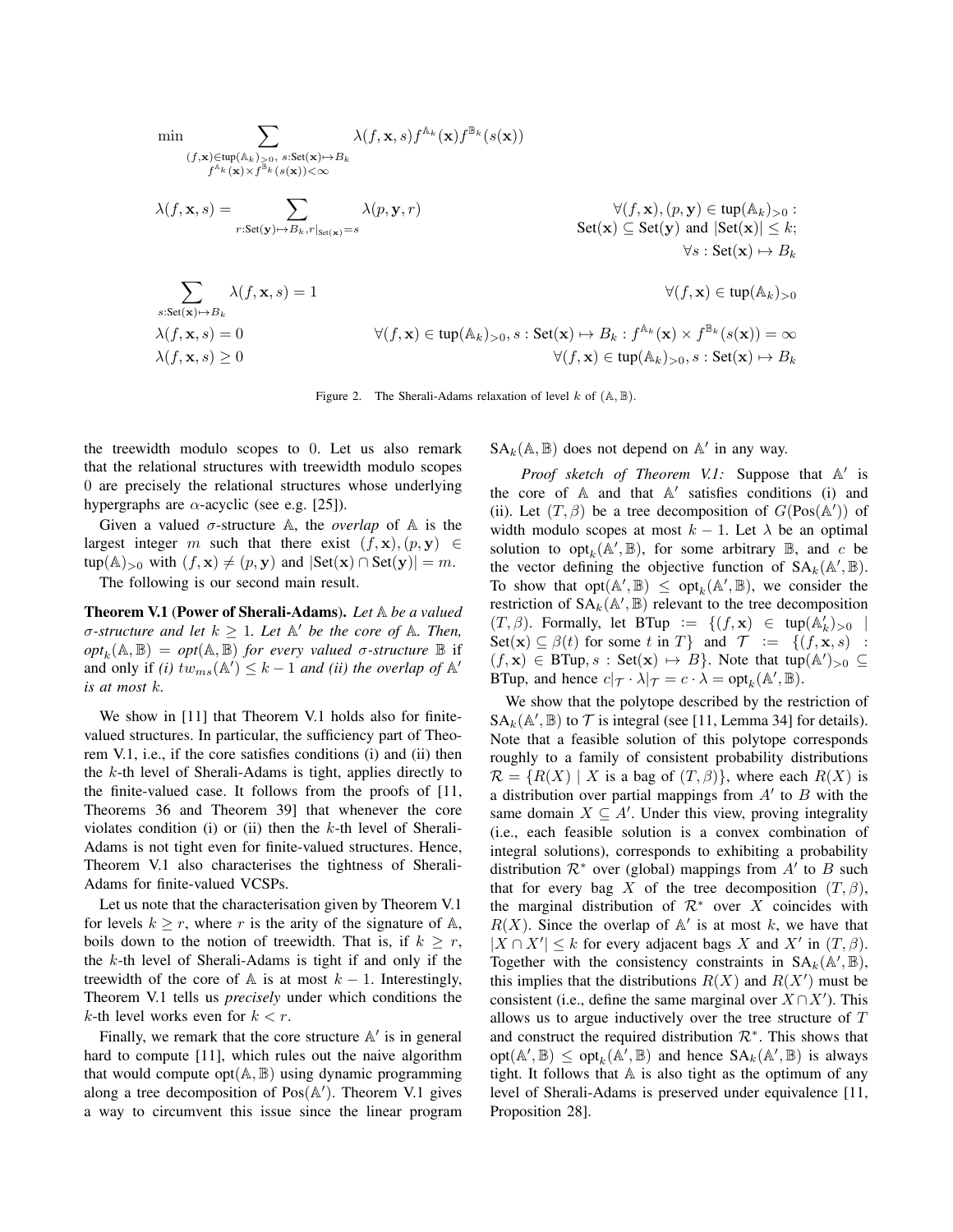$$
\min \sum_{\substack{(f,\mathbf{x}) \in \text{tup}(\mathbb{A}_k) > 0, \ s: \text{Set}(\mathbf{x}) \mapsto B_k \\ f^{\mathbb{A}_k}(\mathbf{x}) \times f^{\mathbb{B}_k}(\mathbf{s}(\mathbf{x})) < \infty}} \lambda(f,\mathbf{x},s) f^{\mathbb{A}_k}(\mathbf{x}) / f^{\mathbb{B}_k}(\mathbf{s}(\mathbf{x}))} \times f^{\mathbb{B}_k}(\mathbf{s}(\mathbf{x}))} \times f^{\mathbb{B}_k}(\mathbf{s}(\mathbf{x}))} \times f^{\mathbb{B}_k}(\mathbf{s}(\mathbf{x}))} \times f^{\mathbb{B}_k}(\mathbf{s}(\mathbf{x}))} \times f^{\mathbb{B}_k}(\mathbf{s}(\mathbf{x}))} \times f^{\mathbb{B}_k}(\mathbf{s}(\mathbf{x}))} \times f^{\mathbb{B}_k}(\mathbf{s}(\mathbf{x}))} \times f^{\mathbb{B}_k}(\mathbf{s}(\mathbf{x}))} \times f^{\mathbb{B}_k}(\mathbf{s}(\mathbf{x}))} \times f^{\mathbb{B}_k}(\mathbf{s}(\mathbf{x}))} \times f^{\mathbb{B}_k}(\mathbf{s}(\mathbf{x}))} \times f^{\mathbb{B}_k}(\mathbf{s}(\mathbf{x}))} \times f^{\mathbb{B}_k}(\mathbf{s}(\mathbf{x}))} \times f^{\mathbb{B}_k}(\mathbf{s}(\mathbf{x}))} \times f^{\mathbb{B}_k}(\mathbf{s}(\mathbf{x}))} \times f^{\mathbb{B}_k}(\mathbf{s}(\mathbf{x}))} \times f^{\mathbb{B}_k}(\mathbf{s}(\mathbf{x}))} \times f^{\mathbb{B}_k}(\mathbf{s}(\mathbf{x}))} \times f^{\mathbb{B}_k}(\mathbf{s}(\mathbf{x}))} \times f^{\mathbb{B}_k}(\mathbf{s}(\mathbf{x}))} \times f^{\mathbb{B}_k}(\mathbf{s}(\mathbf{x}))} \times f^{\mathbb{B}_k}(\mathbf{s}(\mathbf{x}))} \times f^{\mathbb{B}_k}(\mathbf{s}(\mathbf{x}))} \times f^{\mathbb{B}_k}(\mathbf{s}(\mathbf{x}))} \times f^{\mathbb{B}_k}(\mathbf{s}(\mathbf{x}))} \times f^{\mathbb{B}_k}(\mathbf{s}(\mathbf{x}))} \times f^{\mathbb{B}_k}(\mathbf
$$

Figure 2. The Sherali-Adams relaxation of level  $k$  of  $(A, B)$ .

the treewidth modulo scopes to 0. Let us also remark that the relational structures with treewidth modulo scopes 0 are precisely the relational structures whose underlying hypergraphs are  $\alpha$ -acyclic (see e.g. [25]).

Given a valued  $\sigma$ -structure A, the *overlap* of A is the largest integer m such that there exist  $(f, \mathbf{x})$ ,  $(p, \mathbf{y}) \in$ tup(A)<sub>>0</sub> with  $(f, x) \neq (p, y)$  and  $|\text{Set}(x) \cap \text{Set}(y)| = m$ .

The following is our second main result.

Theorem V.1 (Power of Sherali-Adams). *Let* A *be a valued*  $\sigma$ *-structure and let*  $k \geq 1$ *. Let*  $\mathbb{A}'$  *be the core of*  $\mathbb{A}$ *. Then,*  $opt_k(\mathbb{A}, \mathbb{B}) = opt(\mathbb{A}, \mathbb{B})$  *for every valued σ-structure*  $\mathbb{B}$  if and only if *(i)*  $tw_{ms}(\mathbb{A}^{\prime}) \leq k - 1$  *and (ii) the overlap of*  $\mathbb{A}^{\prime}$ *is at most* k*.*

We show in [11] that Theorem V.1 holds also for finitevalued structures. In particular, the sufficiency part of Theorem V.1, i.e., if the core satisfies conditions (i) and (ii) then the  $k$ -th level of Sherali-Adams is tight, applies directly to the finite-valued case. It follows from the proofs of [11, Theorems 36 and Theorem 39] that whenever the core violates condition (i) or (ii) then the  $k$ -th level of Sherali-Adams is not tight even for finite-valued structures. Hence, Theorem V.1 also characterises the tightness of Sherali-Adams for finite-valued VCSPs.

Let us note that the characterisation given by Theorem V.1 for levels  $k \geq r$ , where r is the arity of the signature of A, boils down to the notion of treewidth. That is, if  $k \geq r$ , the  $k$ -th level of Sherali-Adams is tight if and only if the treewidth of the core of  $A$  is at most  $k - 1$ . Interestingly, Theorem V.1 tells us *precisely* under which conditions the  $k$ -th level works even for  $k < r$ .

Finally, we remark that the core structure  $A'$  is in general hard to compute [11], which rules out the naive algorithm that would compute opt $(A, B)$  using dynamic programming along a tree decomposition of  $Pos(A')$ . Theorem V.1 gives a way to circumvent this issue since the linear program  $SA_k(\mathbb{A}, \mathbb{B})$  does not depend on  $\mathbb{A}'$  in any way.

Proof sketch of Theorem V.1: Suppose that A' is the core of  $A$  and that  $A'$  satisfies conditions (i) and (ii). Let  $(T, \beta)$  be a tree decomposition of  $G(Pos(A'))$  of width modulo scopes at most  $k - 1$ . Let  $\lambda$  be an optimal solution to  $\mathrm{opt}_k(\mathbb{A}', \mathbb{B})$ , for some arbitrary  $\mathbb{B}$ , and c be the vector defining the objective function of  $SA_k(\mathbb{A}', \mathbb{B})$ . To show that  $opt(A', \mathbb{B}) \le opt_k(A', \mathbb{B})$ , we consider the restriction of  $SA_k(\mathbb{A}', \mathbb{B})$  relevant to the tree decomposition  $(T, \beta)$ . Formally, let BTup :=  $\{(f, \mathbf{x}) \in \text{trp}(\mathbb{A}_k')_{>0} \mid$ Set(x)  $\subseteq \beta(t)$  for some t in T} and  $\mathcal{T} := \{(f, x, s)$ :  $(f, \mathbf{x}) \in \text{BTup}, s : \text{Set}(\mathbf{x}) \mapsto B$ . Note that tup $(\mathbb{A}')_{>0} \subseteq$ BTup, and hence  $c|\tau \cdot \lambda|_{\tau} = c \cdot \lambda = \text{opt}_k(\mathbb{A}', \mathbb{B})$ .

We show that the polytope described by the restriction of  $SA_k(\mathbb{A}', \mathbb{B})$  to  $\mathcal T$  is integral (see [11, Lemma 34] for details). Note that a feasible solution of this polytope corresponds roughly to a family of consistent probability distributions  $\mathcal{R} = \{R(X) \mid X \text{ is a bag of } (T, \beta)\}\$ , where each  $R(X)$  is a distribution over partial mappings from  $A'$  to  $B$  with the same domain  $X \subseteq A'$ . Under this view, proving integrality (i.e., each feasible solution is a convex combination of integral solutions), corresponds to exhibiting a probability distribution  $\mathcal{R}^*$  over (global) mappings from  $A'$  to  $B$  such that for every bag X of the tree decomposition  $(T, \beta)$ , the marginal distribution of  $\mathcal{R}^*$  over X coincides with  $R(X)$ . Since the overlap of  $A'$  is at most k, we have that  $|X \cap X'| \leq k$  for every adjacent bags X and X' in  $(T, \beta)$ . Together with the consistency constraints in  $SA_k(\mathbb{A}', \mathbb{B})$ , this implies that the distributions  $R(X)$  and  $R(X')$  must be consistent (i.e., define the same marginal over  $X \cap X'$ ). This allows us to argue inductively over the tree structure of T and construct the required distribution  $\mathcal{R}^*$ . This shows that  $opt(\mathbb{A}', \mathbb{B}) \le opt_k(\mathbb{A}', \mathbb{B})$  and hence  $SA_k(\mathbb{A}', \mathbb{B})$  is always tight. It follows that  $A$  is also tight as the optimum of any level of Sherali-Adams is preserved under equivalence [11, Proposition 28].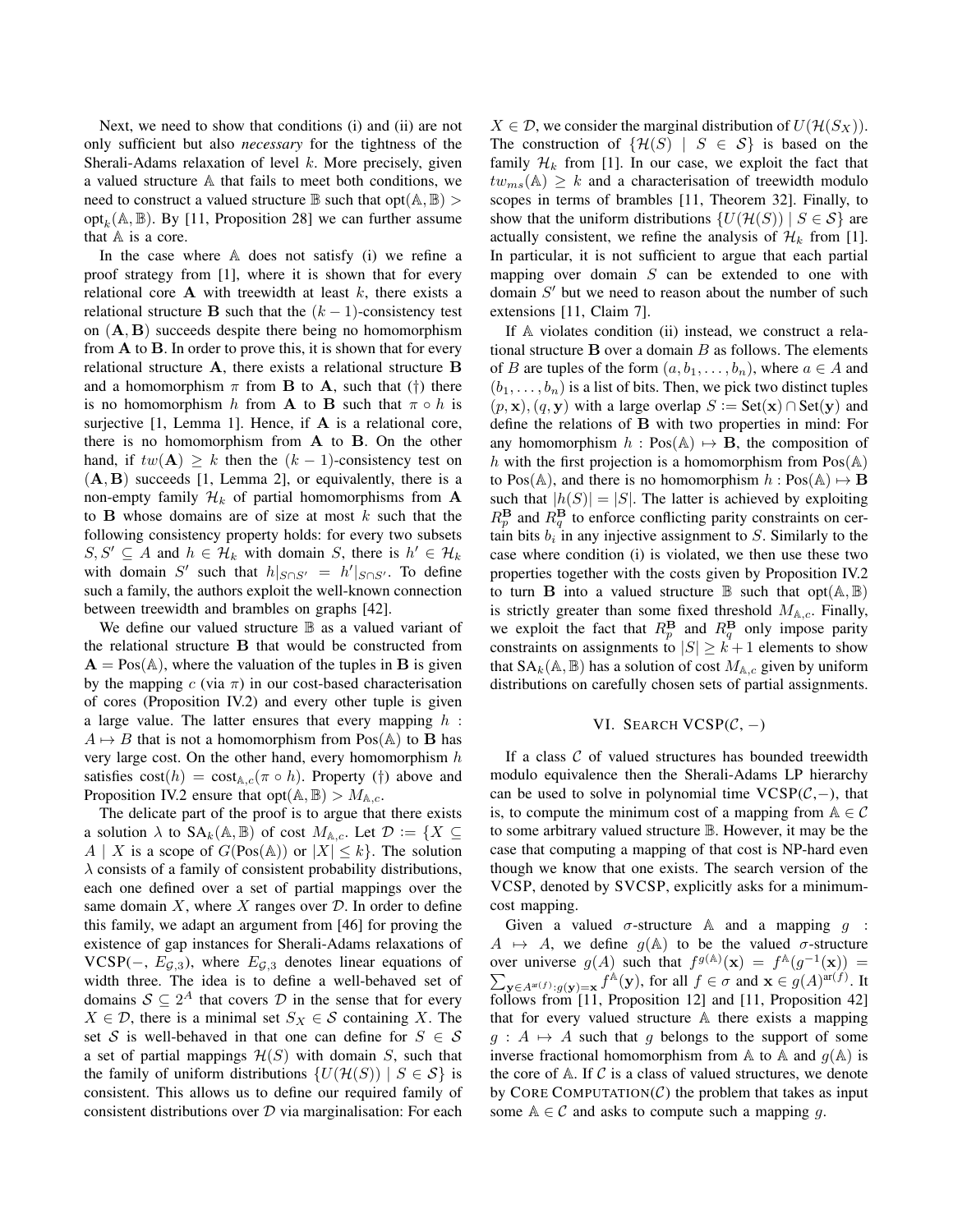Next, we need to show that conditions (i) and (ii) are not only sufficient but also *necessary* for the tightness of the Sherali-Adams relaxation of level  $k$ . More precisely, given a valued structure A that fails to meet both conditions, we need to construct a valued structure  $\mathbb B$  such that opt $(\mathbb A, \mathbb B)$ opt<sub>k</sub>( $\mathbb{A}, \mathbb{B}$ ). By [11, Proposition 28] we can further assume that  $A$  is a core.

In the case where A does not satisfy (i) we refine a proof strategy from [1], where it is shown that for every relational core  $A$  with treewidth at least  $k$ , there exists a relational structure B such that the  $(k - 1)$ -consistency test on  $(A, B)$  succeeds despite there being no homomorphism from  $A$  to  $B$ . In order to prove this, it is shown that for every relational structure A, there exists a relational structure B and a homomorphism  $\pi$  from **B** to **A**, such that ( $\dagger$ ) there is no homomorphism h from **A** to **B** such that  $\pi \circ h$  is surjective [1, Lemma 1]. Hence, if A is a relational core, there is no homomorphism from A to B. On the other hand, if  $tw(\mathbf{A}) \geq k$  then the  $(k-1)$ -consistency test on  $(A, B)$  succeeds [1, Lemma 2], or equivalently, there is a non-empty family  $\mathcal{H}_k$  of partial homomorphisms from A to **B** whose domains are of size at most  $k$  such that the following consistency property holds: for every two subsets  $S, S' \subseteq A$  and  $h \in \mathcal{H}_k$  with domain S, there is  $h' \in \mathcal{H}_k$ with domain S' such that  $h|_{S \cap S'} = h'|_{S \cap S'}$ . To define such a family, the authors exploit the well-known connection between treewidth and brambles on graphs [42].

We define our valued structure  $\mathbb B$  as a valued variant of the relational structure B that would be constructed from  $A = Pos(A)$ , where the valuation of the tuples in B is given by the mapping  $c$  (via  $\pi$ ) in our cost-based characterisation of cores (Proposition IV.2) and every other tuple is given a large value. The latter ensures that every mapping  $h$ :  $A \mapsto B$  that is not a homomorphism from Pos(A) to **B** has very large cost. On the other hand, every homomorphism  $h$ satisfies  $cost(h) = cost_{A,c}(\pi \circ h)$ . Property (†) above and Proposition IV.2 ensure that opt $(A, B) > M_{A,c}$ .

The delicate part of the proof is to argue that there exists a solution  $\lambda$  to  $SA_k(\mathbb{A}, \mathbb{B})$  of cost  $M_{\mathbb{A}, c}$ . Let  $\mathcal{D} := \{X \subseteq$  $A \mid X$  is a scope of  $G(Pos(A))$  or  $|X| \leq k$ . The solution  $\lambda$  consists of a family of consistent probability distributions, each one defined over a set of partial mappings over the same domain  $X$ , where  $X$  ranges over  $D$ . In order to define this family, we adapt an argument from [46] for proving the existence of gap instances for Sherali-Adams relaxations of VCSP( $-$ ,  $E_{\mathcal{G},3}$ ), where  $E_{\mathcal{G},3}$  denotes linear equations of width three. The idea is to define a well-behaved set of domains  $S \subseteq 2^A$  that covers  $D$  in the sense that for every  $X \in \mathcal{D}$ , there is a minimal set  $S_X \in \mathcal{S}$  containing X. The set S is well-behaved in that one can define for  $S \in \mathcal{S}$ a set of partial mappings  $\mathcal{H}(S)$  with domain S, such that the family of uniform distributions  $\{U(\mathcal{H}(S)) \mid S \in \mathcal{S}\}\)$  is consistent. This allows us to define our required family of consistent distributions over  $D$  via marginalisation: For each  $X \in \mathcal{D}$ , we consider the marginal distribution of  $U(\mathcal{H}(S_X)).$ The construction of  $\{\mathcal{H}(S) | S \in \mathcal{S}\}\$ is based on the family  $\mathcal{H}_k$  from [1]. In our case, we exploit the fact that  $tw_{ms}(\mathbb{A}) \geq k$  and a characterisation of treewidth modulo scopes in terms of brambles [11, Theorem 32]. Finally, to show that the uniform distributions  $\{U(\mathcal{H}(S)) \mid S \in \mathcal{S}\}\)$  are actually consistent, we refine the analysis of  $\mathcal{H}_k$  from [1]. In particular, it is not sufficient to argue that each partial mapping over domain  $S$  can be extended to one with domain  $S'$  but we need to reason about the number of such extensions [11, Claim 7].

If A violates condition (ii) instead, we construct a relational structure  $B$  over a domain  $B$  as follows. The elements of B are tuples of the form  $(a, b_1, \ldots, b_n)$ , where  $a \in A$  and  $(b_1, \ldots, b_n)$  is a list of bits. Then, we pick two distinct tuples  $(p, x), (q, y)$  with a large overlap  $S := \text{Set}(x) \cap \text{Set}(y)$  and define the relations of B with two properties in mind: For any homomorphism  $h : Pos(A) \rightarrow B$ , the composition of h with the first projection is a homomorphism from  $Pos(A)$ to Pos( $\mathbb{A}$ ), and there is no homomorphism  $h : Pos(\mathbb{A}) \mapsto \mathbf{B}$ such that  $|h(S)| = |S|$ . The latter is achieved by exploiting  $R_p^{\mathbf{B}}$  and  $R_q^{\mathbf{B}}$  to enforce conflicting parity constraints on certain bits  $b_i$  in any injective assignment to S. Similarly to the case where condition (i) is violated, we then use these two properties together with the costs given by Proposition IV.2 to turn **B** into a valued structure **B** such that  $opt(A, B)$ is strictly greater than some fixed threshold  $M_{A,c}$ . Finally, we exploit the fact that  $R_p^{\mathbf{B}}$  and  $R_q^{\mathbf{B}}$  only impose parity constraints on assignments to  $|S| \geq k+1$  elements to show that  $SA_k(\mathbb{A}, \mathbb{B})$  has a solution of cost  $M_{\mathbb{A},c}$  given by uniform distributions on carefully chosen sets of partial assignments.

### VI. SEARCH VCSP $(\mathcal{C},-)$

If a class  $C$  of valued structures has bounded treewidth modulo equivalence then the Sherali-Adams LP hierarchy can be used to solve in polynomial time  $VCSP(\mathcal{C},-)$ , that is, to compute the minimum cost of a mapping from  $A \in \mathcal{C}$ to some arbitrary valued structure B. However, it may be the case that computing a mapping of that cost is NP-hard even though we know that one exists. The search version of the VCSP, denoted by SVCSP, explicitly asks for a minimumcost mapping.

Given a valued  $\sigma$ -structure A and a mapping  $q$  :  $A \mapsto A$ , we define  $g(A)$  to be the valued  $\sigma$ -structure over universe  $g(A)$  such that  $f^{g(A)}(\mathbf{x}) = f^{A}(g^{-1}(\mathbf{x})) =$  $\sum_{\mathbf{y}\in A^{ar}(f):g(\mathbf{y})=\mathbf{x}}f^{\mathbb{A}}(\mathbf{y}),$  for all  $f\in \sigma$  and  $\mathbf{x}\in g(A)^{ar(f)}$ . It follows from [11, Proposition 12] and [11, Proposition 42] that for every valued structure A there exists a mapping  $g : A \mapsto A$  such that g belongs to the support of some inverse fractional homomorphism from A to A and  $q(A)$  is the core of  $A$ . If C is a class of valued structures, we denote by CORE COMPUTATION $(C)$  the problem that takes as input some  $A \in \mathcal{C}$  and asks to compute such a mapping g.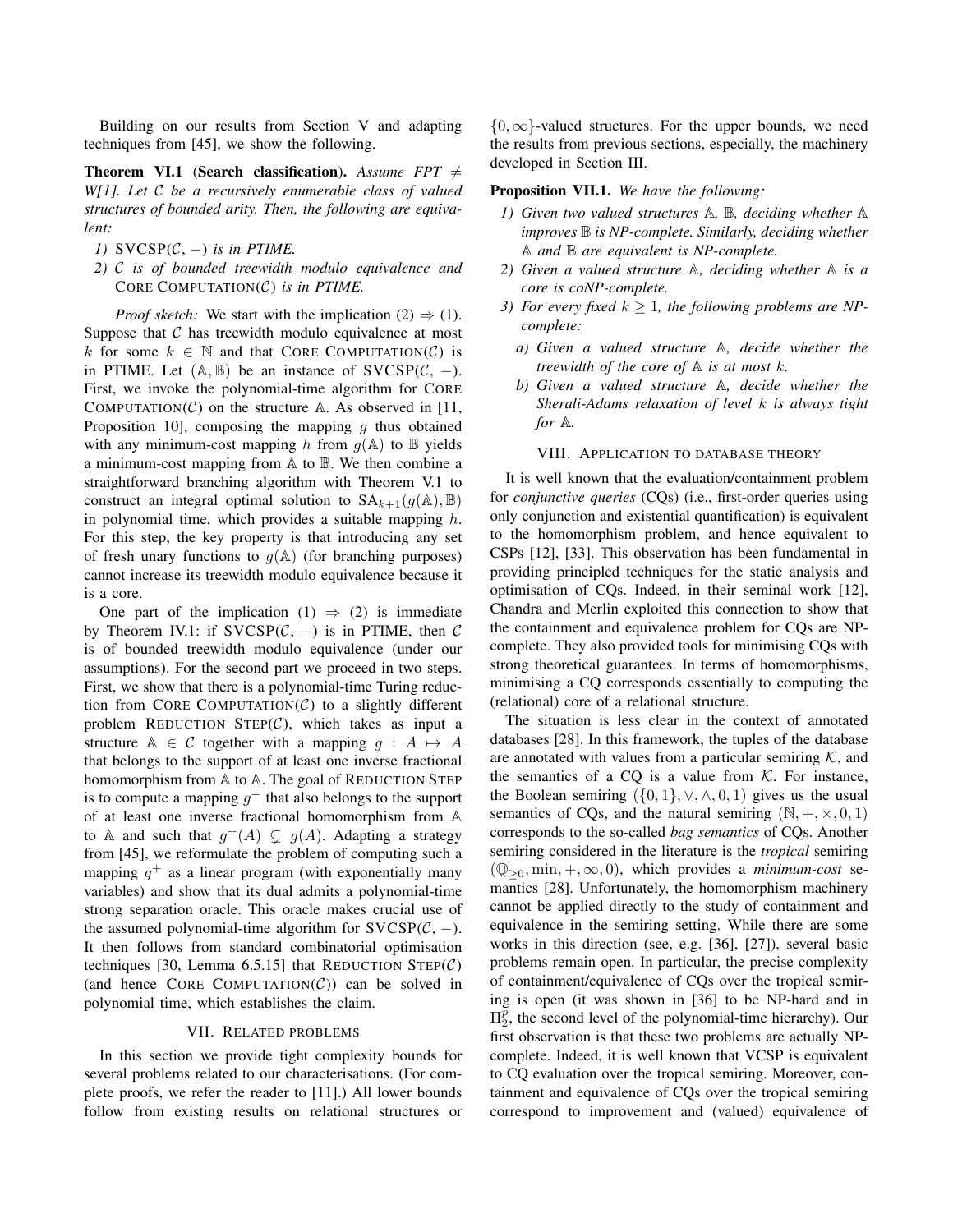Building on our results from Section V and adapting techniques from [45], we show the following.

**Theorem VI.1** (Search classification). Assume  $FPT \neq$ *W[1]. Let* C *be a recursively enumerable class of valued structures of bounded arity. Then, the following are equivalent:*

- *1)*  $SVCSP(C, -)$  *is in PTIME.*
- *2)* C *is of bounded treewidth modulo equivalence and* CORE COMPUTATION(C) *is in PTIME.*

*Proof sketch:* We start with the implication  $(2) \Rightarrow (1)$ . Suppose that  $C$  has treewidth modulo equivalence at most k for some  $k \in \mathbb{N}$  and that CORE COMPUTATION(C) is in PTIME. Let  $(A, B)$  be an instance of SVCSP $(C, -)$ . First, we invoke the polynomial-time algorithm for CORE COMPUTATION( $C$ ) on the structure A. As observed in [11, Proposition 10, composing the mapping  $q$  thus obtained with any minimum-cost mapping h from  $g(A)$  to  $B$  yields a minimum-cost mapping from A to B. We then combine a straightforward branching algorithm with Theorem V.1 to construct an integral optimal solution to  $SA_{k+1}(q(A), B)$ in polynomial time, which provides a suitable mapping  $h$ . For this step, the key property is that introducing any set of fresh unary functions to  $q(\mathbb{A})$  (for branching purposes) cannot increase its treewidth modulo equivalence because it is a core.

One part of the implication  $(1) \Rightarrow (2)$  is immediate by Theorem IV.1: if  $SVCSP(\mathcal{C}, -)$  is in PTIME, then  $\mathcal C$ is of bounded treewidth modulo equivalence (under our assumptions). For the second part we proceed in two steps. First, we show that there is a polynomial-time Turing reduction from CORE COMPUTATION( $\mathcal{C}$ ) to a slightly different problem REDUCTION STEP $(C)$ , which takes as input a structure  $A \in \mathcal{C}$  together with a mapping  $q : A \mapsto A$ that belongs to the support of at least one inverse fractional homomorphism from  $A$  to  $A$ . The goal of REDUCTION STEP is to compute a mapping  $g^+$  that also belongs to the support of at least one inverse fractional homomorphism from A to A and such that  $g^+(A) \subsetneq g(A)$ . Adapting a strategy from [45], we reformulate the problem of computing such a mapping  $g^+$  as a linear program (with exponentially many variables) and show that its dual admits a polynomial-time strong separation oracle. This oracle makes crucial use of the assumed polynomial-time algorithm for  $SVCSP(\mathcal{C}, -)$ . It then follows from standard combinatorial optimisation techniques [30, Lemma 6.5.15] that REDUCTION  $STEP(C)$ (and hence CORE COMPUTATION $(C)$ ) can be solved in polynomial time, which establishes the claim.

#### VII. RELATED PROBLEMS

In this section we provide tight complexity bounds for several problems related to our characterisations. (For complete proofs, we refer the reader to [11].) All lower bounds follow from existing results on relational structures or

 ${0, \infty}$ -valued structures. For the upper bounds, we need the results from previous sections, especially, the machinery developed in Section III.

Proposition VII.1. *We have the following:*

- *1) Given two valued structures* A*,* B*, deciding whether* A *improves* B *is NP-complete. Similarly, deciding whether* A *and* B *are equivalent is NP-complete.*
- *2) Given a valued structure* A*, deciding whether* A *is a core is coNP-complete.*
- *3) For every fixed*  $k \geq 1$ *, the following problems are NPcomplete:*
	- *a) Given a valued structure* A*, decide whether the treewidth of the core of* A *is at most* k*.*
	- *b) Given a valued structure* A*, decide whether the Sherali-Adams relaxation of level* k *is always tight for* A*.*

### VIII. APPLICATION TO DATABASE THEORY

It is well known that the evaluation/containment problem for *conjunctive queries* (CQs) (i.e., first-order queries using only conjunction and existential quantification) is equivalent to the homomorphism problem, and hence equivalent to CSPs [12], [33]. This observation has been fundamental in providing principled techniques for the static analysis and optimisation of CQs. Indeed, in their seminal work [12], Chandra and Merlin exploited this connection to show that the containment and equivalence problem for CQs are NPcomplete. They also provided tools for minimising CQs with strong theoretical guarantees. In terms of homomorphisms, minimising a CQ corresponds essentially to computing the (relational) core of a relational structure.

The situation is less clear in the context of annotated databases [28]. In this framework, the tuples of the database are annotated with values from a particular semiring  $K$ , and the semantics of a CQ is a value from  $K$ . For instance, the Boolean semiring  $({0, 1}, \vee, \wedge, 0, 1)$  gives us the usual semantics of CQs, and the natural semiring  $(N, +, \times, 0, 1)$ corresponds to the so-called *bag semantics* of CQs. Another semiring considered in the literature is the *tropical* semiring  $(\overline{\mathbb{Q}}_{\geq 0}, \min, +, \infty, 0)$ , which provides a *minimum-cost* semantics [28]. Unfortunately, the homomorphism machinery cannot be applied directly to the study of containment and equivalence in the semiring setting. While there are some works in this direction (see, e.g. [36], [27]), several basic problems remain open. In particular, the precise complexity of containment/equivalence of CQs over the tropical semiring is open (it was shown in [36] to be NP-hard and in  $\Pi_2^{\bar{p}}$ , the second level of the polynomial-time hierarchy). Our first observation is that these two problems are actually NPcomplete. Indeed, it is well known that VCSP is equivalent to CQ evaluation over the tropical semiring. Moreover, containment and equivalence of CQs over the tropical semiring correspond to improvement and (valued) equivalence of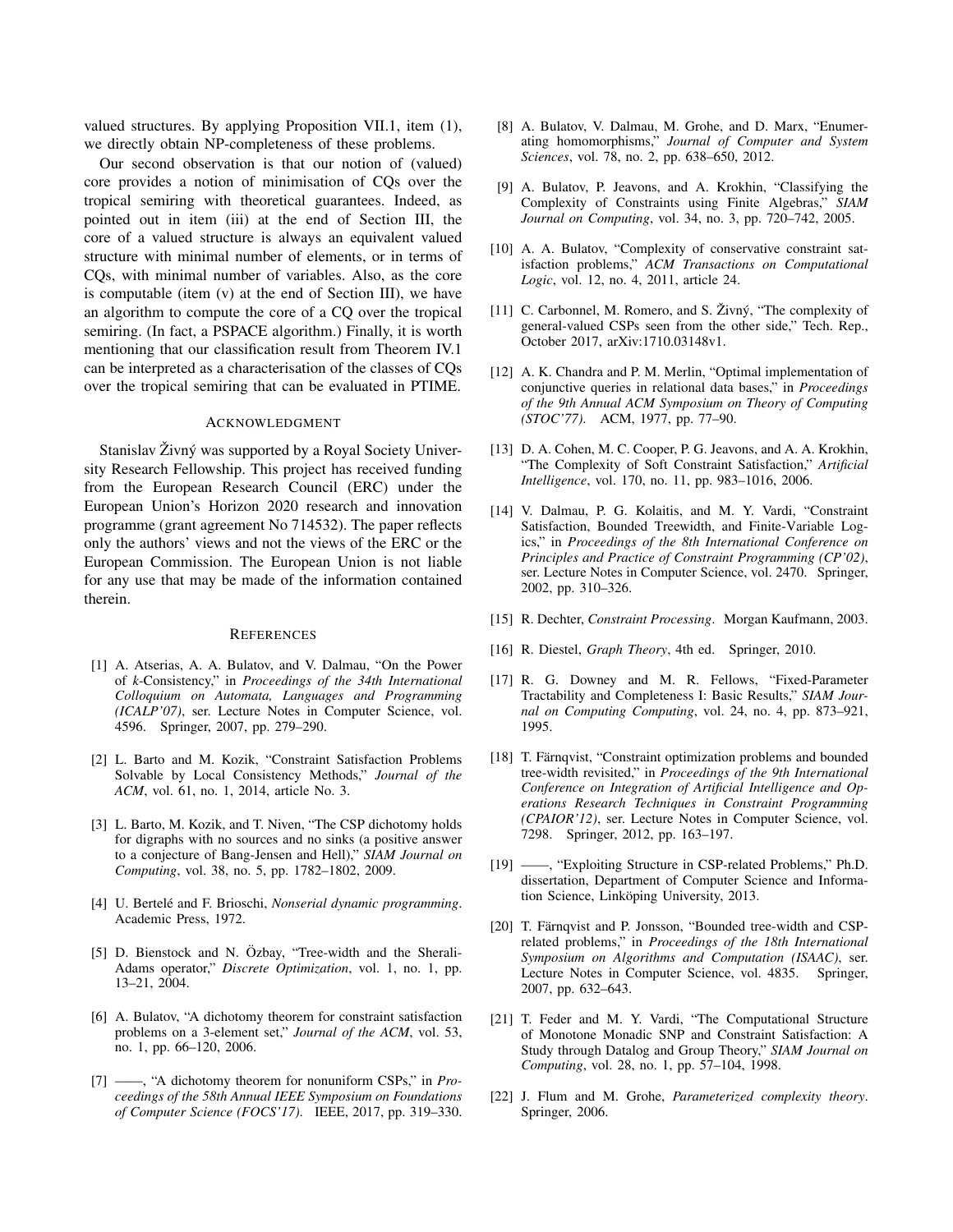valued structures. By applying Proposition VII.1, item (1), we directly obtain NP-completeness of these problems.

Our second observation is that our notion of (valued) core provides a notion of minimisation of CQs over the tropical semiring with theoretical guarantees. Indeed, as pointed out in item (iii) at the end of Section III, the core of a valued structure is always an equivalent valued structure with minimal number of elements, or in terms of CQs, with minimal number of variables. Also, as the core is computable (item (v) at the end of Section III), we have an algorithm to compute the core of a CQ over the tropical semiring. (In fact, a PSPACE algorithm.) Finally, it is worth mentioning that our classification result from Theorem IV.1 can be interpreted as a characterisation of the classes of CQs over the tropical semiring that can be evaluated in PTIME.

#### ACKNOWLEDGMENT

Stanislav Živný was supported by a Royal Society University Research Fellowship. This project has received funding from the European Research Council (ERC) under the European Union's Horizon 2020 research and innovation programme (grant agreement No 714532). The paper reflects only the authors' views and not the views of the ERC or the European Commission. The European Union is not liable for any use that may be made of the information contained therein.

#### **REFERENCES**

- [1] A. Atserias, A. A. Bulatov, and V. Dalmau, "On the Power of *k*-Consistency," in *Proceedings of the 34th International Colloquium on Automata, Languages and Programming (ICALP'07)*, ser. Lecture Notes in Computer Science, vol. 4596. Springer, 2007, pp. 279–290.
- [2] L. Barto and M. Kozik, "Constraint Satisfaction Problems Solvable by Local Consistency Methods," *Journal of the ACM*, vol. 61, no. 1, 2014, article No. 3.
- [3] L. Barto, M. Kozik, and T. Niven, "The CSP dichotomy holds for digraphs with no sources and no sinks (a positive answer to a conjecture of Bang-Jensen and Hell)," *SIAM Journal on Computing*, vol. 38, no. 5, pp. 1782–1802, 2009.
- [4] U. Bertelé and F. Brioschi, *Nonserial dynamic programming*. Academic Press, 1972.
- [5] D. Bienstock and N. Özbay, "Tree-width and the Sherali-Adams operator," *Discrete Optimization*, vol. 1, no. 1, pp. 13–21, 2004.
- [6] A. Bulatov, "A dichotomy theorem for constraint satisfaction problems on a 3-element set," *Journal of the ACM*, vol. 53, no. 1, pp. 66–120, 2006.
- [7] ——, "A dichotomy theorem for nonuniform CSPs," in *Proceedings of the 58th Annual IEEE Symposium on Foundations of Computer Science (FOCS'17)*. IEEE, 2017, pp. 319–330.
- [8] A. Bulatov, V. Dalmau, M. Grohe, and D. Marx, "Enumerating homomorphisms," *Journal of Computer and System Sciences*, vol. 78, no. 2, pp. 638–650, 2012.
- [9] A. Bulatov, P. Jeavons, and A. Krokhin, "Classifying the Complexity of Constraints using Finite Algebras," *SIAM Journal on Computing*, vol. 34, no. 3, pp. 720–742, 2005.
- [10] A. A. Bulatov, "Complexity of conservative constraint satisfaction problems," *ACM Transactions on Computational Logic*, vol. 12, no. 4, 2011, article 24.
- [11] C. Carbonnel, M. Romero, and S.  $\check{Z}$ ivný, "The complexity of general-valued CSPs seen from the other side," Tech. Rep., October 2017, arXiv:1710.03148v1.
- [12] A. K. Chandra and P. M. Merlin, "Optimal implementation of conjunctive queries in relational data bases," in *Proceedings of the 9th Annual ACM Symposium on Theory of Computing (STOC'77)*. ACM, 1977, pp. 77–90.
- [13] D. A. Cohen, M. C. Cooper, P. G. Jeavons, and A. A. Krokhin, "The Complexity of Soft Constraint Satisfaction," *Artificial Intelligence*, vol. 170, no. 11, pp. 983–1016, 2006.
- [14] V. Dalmau, P. G. Kolaitis, and M. Y. Vardi, "Constraint Satisfaction, Bounded Treewidth, and Finite-Variable Logics," in *Proceedings of the 8th International Conference on Principles and Practice of Constraint Programming (CP'02)*, ser. Lecture Notes in Computer Science, vol. 2470. Springer, 2002, pp. 310–326.
- [15] R. Dechter, *Constraint Processing*. Morgan Kaufmann, 2003.
- [16] R. Diestel, *Graph Theory*, 4th ed. Springer, 2010.
- [17] R. G. Downey and M. R. Fellows, "Fixed-Parameter Tractability and Completeness I: Basic Results," *SIAM Journal on Computing Computing*, vol. 24, no. 4, pp. 873–921, 1995.
- [18] T. Färnqvist, "Constraint optimization problems and bounded tree-width revisited," in *Proceedings of the 9th International Conference on Integration of Artificial Intelligence and Operations Research Techniques in Constraint Programming (CPAIOR'12)*, ser. Lecture Notes in Computer Science, vol. 7298. Springer, 2012, pp. 163–197.
- [19] ——, "Exploiting Structure in CSP-related Problems," Ph.D. dissertation, Department of Computer Science and Information Science, Linköping University, 2013.
- [20] T. Färnqvist and P. Jonsson, "Bounded tree-width and CSPrelated problems," in *Proceedings of the 18th International Symposium on Algorithms and Computation (ISAAC)*, ser. Lecture Notes in Computer Science, vol. 4835. Springer, 2007, pp. 632–643.
- [21] T. Feder and M. Y. Vardi, "The Computational Structure of Monotone Monadic SNP and Constraint Satisfaction: A Study through Datalog and Group Theory," *SIAM Journal on Computing*, vol. 28, no. 1, pp. 57–104, 1998.
- [22] J. Flum and M. Grohe, *Parameterized complexity theory*. Springer, 2006.